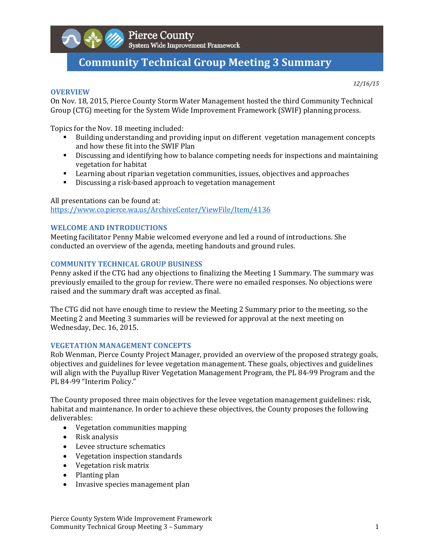

Pierce County<br>System Wide Improvement Framework

# **Community Technical Group Meeting 3 Summary**

**OVERVIEW**

*12/16/15*

On Nov. 18, 2015, Pierce County Storm Water Management hosted the third Community Technical Group (CTG) meeting for the System Wide Improvement Framework (SWIF) planning process.

Topics for the Nov. 18 meeting included:

- If Building understanding and providing input on different vegetation management concepts and how these fit into the SWIF Plan
- **EXECUTE:** Discussing and identifying how to balance competing needs for inspections and maintaining vegetation for habitat
- **EXECT** Learning about riparian vegetation communities, issues, objectives and approaches
- Discussing a risk-based approach to vegetation management

All presentations can be found at: https://www.co.pierce.wa.us/ArchiveCenter/ViewFile/Item/4136 

# **WELCOME AND INTRODUCTIONS**

Meeting facilitator Penny Mabie welcomed everyone and led a round of introductions. She conducted an overview of the agenda, meeting handouts and ground rules.

#### **COMMUNITY TECHNICAL GROUP BUSINESS**

Penny asked if the CTG had any objections to finalizing the Meeting 1 Summary. The summary was previously emailed to the group for review. There were no emailed responses. No objections were raised and the summary draft was accepted as final.

The CTG did not have enough time to review the Meeting 2 Summary prior to the meeting, so the Meeting 2 and Meeting 3 summaries will be reviewed for approval at the next meeting on Wednesday, Dec. 16, 2015.

#### **VEGETATION MANAGEMENT CONCEPTS**

Rob Wenman, Pierce County Project Manager, provided an overview of the proposed strategy goals, objectives and guidelines for levee vegetation management. These goals, objectives and guidelines will align with the Puyallup River Vegetation Management Program, the PL 84-99 Program and the PL 84-99 "Interim Policy."

The County proposed three main objectives for the levee vegetation management guidelines: risk, habitat and maintenance. In order to achieve these objectives, the County proposes the following deliverables: 

- Vegetation communities mapping
- $\bullet$  Risk analysis
- Levee structure schematics
- Vegetation inspection standards
- Vegetation risk matrix
- $\bullet$  Planting plan
- Invasive species management plan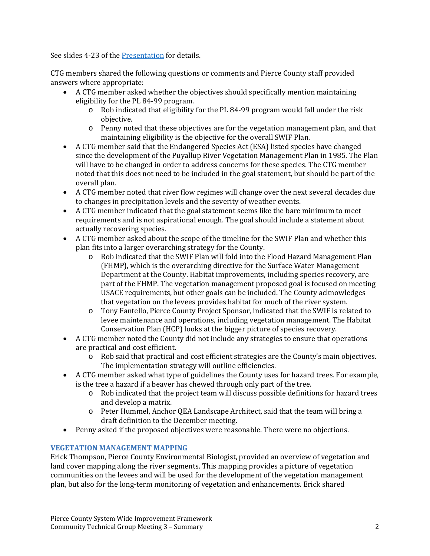See slides 4-23 of the Presentation for details.

CTG members shared the following questions or comments and Pierce County staff provided answers where appropriate:

- A CTG member asked whether the objectives should specifically mention maintaining eligibility for the PL 84-99 program.
	- $\circ$  Rob indicated that eligibility for the PL 84-99 program would fall under the risk objective.
	- o Penny noted that these objectives are for the vegetation management plan, and that maintaining eligibility is the objective for the overall SWIF Plan.
- A CTG member said that the Endangered Species Act (ESA) listed species have changed since the development of the Puyallup River Vegetation Management Plan in 1985. The Plan will have to be changed in order to address concerns for these species. The CTG member noted that this does not need to be included in the goal statement, but should be part of the overall plan.
- A CTG member noted that river flow regimes will change over the next several decades due to changes in precipitation levels and the severity of weather events.
- A CTG member indicated that the goal statement seems like the bare minimum to meet requirements and is not aspirational enough. The goal should include a statement about actually recovering species.
- A CTG member asked about the scope of the timeline for the SWIF Plan and whether this plan fits into a larger overarching strategy for the County.
	- $\circ$  Rob indicated that the SWIF Plan will fold into the Flood Hazard Management Plan (FHMP), which is the overarching directive for the Surface Water Management Department at the County. Habitat improvements, including species recovery, are part of the FHMP. The vegetation management proposed goal is focused on meeting USACE requirements, but other goals can be included. The County acknowledges that vegetation on the levees provides habitat for much of the river system.
	- $\circ$  Tony Fantello, Pierce County Project Sponsor, indicated that the SWIF is related to levee maintenance and operations, including vegetation management. The Habitat Conservation Plan (HCP) looks at the bigger picture of species recovery.
- A CTG member noted the County did not include any strategies to ensure that operations are practical and cost efficient.
	- $\circ$  Rob said that practical and cost efficient strategies are the County's main objectives. The implementation strategy will outline efficiencies.
- A CTG member asked what type of guidelines the County uses for hazard trees. For example, is the tree a hazard if a beaver has chewed through only part of the tree.
	- $\circ$  Rob indicated that the project team will discuss possible definitions for hazard trees and develop a matrix.
	- o Peter Hummel, Anchor QEA Landscape Architect, said that the team will bring a draft definition to the December meeting.
- Penny asked if the proposed objectives were reasonable. There were no objections.

# **VEGETATION MANAGEMENT MAPPING**

Erick Thompson, Pierce County Environmental Biologist, provided an overview of vegetation and land cover mapping along the river segments. This mapping provides a picture of vegetation communities on the levees and will be used for the development of the vegetation management plan, but also for the long-term monitoring of vegetation and enhancements. Erick shared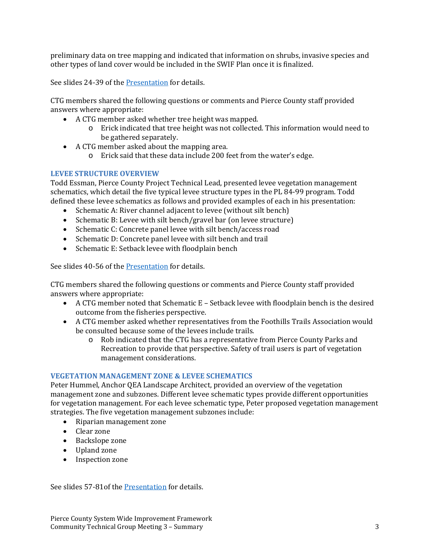preliminary data on tree mapping and indicated that information on shrubs, invasive species and other types of land cover would be included in the SWIF Plan once it is finalized.

See slides 24-39 of the Presentation for details.

CTG members shared the following questions or comments and Pierce County staff provided answers where appropriate:

- A CTG member asked whether tree height was mapped.
	- $\circ$  Erick indicated that tree height was not collected. This information would need to be gathered separately.
- A CTG member asked about the mapping area.
	- $\circ$  Erick said that these data include 200 feet from the water's edge.

# **LEVEE STRUCTURE OVERVIEW**

Todd Essman, Pierce County Project Technical Lead, presented levee vegetation management schematics, which detail the five typical levee structure types in the PL 84-99 program. Todd defined these levee schematics as follows and provided examples of each in his presentation:

- Schematic A: River channel adjacent to levee (without silt bench)
- Schematic B: Levee with silt bench/gravel bar (on levee structure)
- Schematic C: Concrete panel levee with silt bench/access road
- Schematic D: Concrete panel levee with silt bench and trail
- Schematic E: Setback levee with floodplain bench

See slides 40-56 of the Presentation for details.

CTG members shared the following questions or comments and Pierce County staff provided answers where appropriate:

- A CTG member noted that Schematic  $E -$  Setback levee with floodplain bench is the desired outcome from the fisheries perspective.
- A CTG member asked whether representatives from the Foothills Trails Association would be consulted because some of the levees include trails.
	- o Rob indicated that the CTG has a representative from Pierce County Parks and Recreation to provide that perspective. Safety of trail users is part of vegetation management considerations.

# **VEGETATION MANAGEMENT ZONE & LEVEE SCHEMATICS**

Peter Hummel, Anchor QEA Landscape Architect, provided an overview of the vegetation management zone and subzones. Different levee schematic types provide different opportunities for vegetation management. For each levee schematic type, Peter proposed vegetation management strategies. The five vegetation management subzones include:

- Riparian management zone
- Clear zone
- Backslope zone
- Upland zone
- Inspection zone

See slides 57-81of the Presentation for details.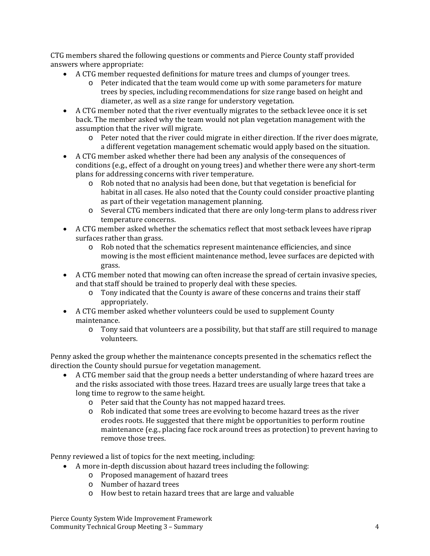CTG members shared the following questions or comments and Pierce County staff provided answers where appropriate:

- A CTG member requested definitions for mature trees and clumps of younger trees.
	- $\circ$  Peter indicated that the team would come up with some parameters for mature trees by species, including recommendations for size range based on height and diameter, as well as a size range for understory vegetation.
- A CTG member noted that the river eventually migrates to the setback levee once it is set back. The member asked why the team would not plan vegetation management with the assumption that the river will migrate.
	- o Peter noted that the river could migrate in either direction. If the river does migrate, a different vegetation management schematic would apply based on the situation.
- A CTG member asked whether there had been any analysis of the consequences of conditions (e.g., effect of a drought on young trees) and whether there were any short-term plans for addressing concerns with river temperature.
	- $\circ$  Rob noted that no analysis had been done, but that vegetation is beneficial for habitat in all cases. He also noted that the County could consider proactive planting as part of their vegetation management planning.
	- $\circ$  Several CTG members indicated that there are only long-term plans to address river temperature concerns.
- A CTG member asked whether the schematics reflect that most setback levees have riprap surfaces rather than grass.
	- o Rob noted that the schematics represent maintenance efficiencies, and since mowing is the most efficient maintenance method, levee surfaces are depicted with grass.
- A CTG member noted that mowing can often increase the spread of certain invasive species, and that staff should be trained to properly deal with these species.
	- $\circ$  Tony indicated that the County is aware of these concerns and trains their staff appropriately.
- A CTG member asked whether volunteers could be used to supplement County maintenance.
	- $\circ$  Tony said that volunteers are a possibility, but that staff are still required to manage volunteers.

Penny asked the group whether the maintenance concepts presented in the schematics reflect the direction the County should pursue for vegetation management.

- A CTG member said that the group needs a better understanding of where hazard trees are and the risks associated with those trees. Hazard trees are usually large trees that take a long time to regrow to the same height.
	- o Peter said that the County has not mapped hazard trees.
	- $\circ$  Rob indicated that some trees are evolving to become hazard trees as the river erodes roots. He suggested that there might be opportunities to perform routine maintenance (e.g., placing face rock around trees as protection) to prevent having to remove those trees.

Penny reviewed a list of topics for the next meeting, including:

- A more in-depth discussion about hazard trees including the following:
	- o Proposed management of hazard trees
	- o Number of hazard trees
	- o How best to retain hazard trees that are large and valuable

Pierce County System Wide Improvement Framework Community Technical Group Meeting 3 – Summary  $\frac{4}{3}$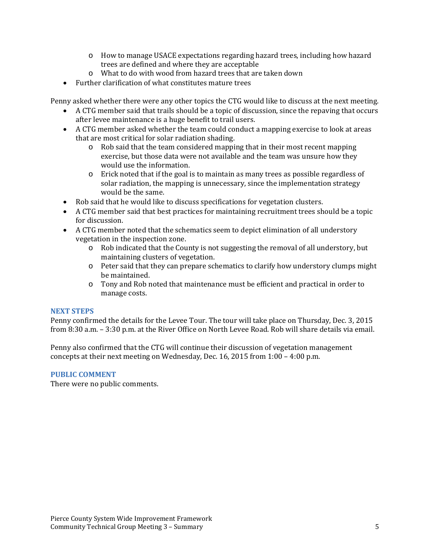- $\circ$  How to manage USACE expectations regarding hazard trees, including how hazard trees are defined and where they are acceptable
- $\circ$  What to do with wood from hazard trees that are taken down
- $\bullet$  Further clarification of what constitutes mature trees

Penny asked whether there were any other topics the CTG would like to discuss at the next meeting.

- A CTG member said that trails should be a topic of discussion, since the repaving that occurs after levee maintenance is a huge benefit to trail users.
- A CTG member asked whether the team could conduct a mapping exercise to look at areas that are most critical for solar radiation shading.
	- o Rob said that the team considered mapping that in their most recent mapping exercise, but those data were not available and the team was unsure how they would use the information.
	- $\circ$  Erick noted that if the goal is to maintain as many trees as possible regardless of solar radiation, the mapping is unnecessary, since the implementation strategy would be the same.
- Rob said that he would like to discuss specifications for vegetation clusters.
- A CTG member said that best practices for maintaining recruitment trees should be a topic for discussion.
- A CTG member noted that the schematics seem to depict elimination of all understory vegetation in the inspection zone.
	- $\circ$  Rob indicated that the County is not suggesting the removal of all understory, but maintaining clusters of vegetation.
	- o Peter said that they can prepare schematics to clarify how understory clumps might be maintained.
	- o Tony and Rob noted that maintenance must be efficient and practical in order to manage costs.

#### **NEXT STEPS**

Penny confirmed the details for the Levee Tour. The tour will take place on Thursday, Dec. 3, 2015 from 8:30 a.m. – 3:30 p.m. at the River Office on North Levee Road. Rob will share details via email.

Penny also confirmed that the CTG will continue their discussion of vegetation management concepts at their next meeting on Wednesday, Dec. 16, 2015 from  $1:00 - 4:00$  p.m.

#### **PUBLIC COMMENT**

There were no public comments.